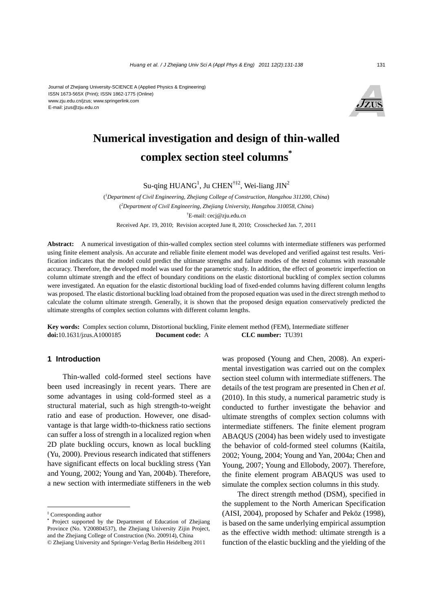#### Journal of Zhejiang University-SCIENCE A (Applied Physics & Engineering) ISSN 1673-565X (Print); ISSN 1862-1775 (Online) www.zju.edu.cn/jzus; www.springerlink.com E-mail: jzus@zju.edu.cn



# **Numerical investigation and design of thin-walled complex section steel columns\***

Su-qing HUANG<sup>1</sup>, Ju CHEN<sup>†‡2</sup>, Wei-liang JIN<sup>2</sup>

( *1 Department of Civil Engineering, Zhejiang College of Construction, Hangzhou 311200, China*) ( *2 Department of Civil Engineering, Zhejiang University, Hangzhou 310058, China*) † E-mail: cecj@zju.edu.cn Received Apr. 19, 2010; Revision accepted June 8, 2010; Crosschecked Jan. 7, 2011

**Abstract:** A numerical investigation of thin-walled complex section steel columns with intermediate stiffeners was performed using finite element analysis. An accurate and reliable finite element model was developed and verified against test results. Verification indicates that the model could predict the ultimate strengths and failure modes of the tested columns with reasonable accuracy. Therefore, the developed model was used for the parametric study. In addition, the effect of geometric imperfection on column ultimate strength and the effect of boundary conditions on the elastic distortional buckling of complex section columns were investigated. An equation for the elastic distortional buckling load of fixed-ended columns having different column lengths was proposed. The elastic distortional buckling load obtained from the proposed equation was used in the direct strength method to calculate the column ultimate strength. Generally, it is shown that the proposed design equation conservatively predicted the ultimate strengths of complex section columns with different column lengths.

**Key words:** Complex section column, Distortional buckling, Finite element method (FEM), Intermediate stiffener **doi:**10.1631/jzus.A1000185 **Document code:** A **CLC number:** TU391

# **1 Introduction**

Thin-walled cold-formed steel sections have been used increasingly in recent years. There are some advantages in using cold-formed steel as a structural material, such as high strength-to-weight ratio and ease of production. However, one disadvantage is that large width-to-thickness ratio sections can suffer a loss of strength in a localized region when 2D plate buckling occurs, known as local buckling (Yu, 2000). Previous research indicated that stiffeners have significant effects on local buckling stress (Yan and Young, 2002; Young and Yan, 2004b). Therefore, a new section with intermediate stiffeners in the web was proposed (Young and Chen, 2008). An experimental investigation was carried out on the complex section steel column with intermediate stiffeners. The details of the test program are presented in Chen *et al*. (2010). In this study, a numerical parametric study is conducted to further investigate the behavior and ultimate strengths of complex section columns with intermediate stiffeners. The finite element program ABAQUS (2004) has been widely used to investigate the behavior of cold-formed steel columns (Kaitila, 2002; Young, 2004; Young and Yan, 2004a; Chen and Young, 2007; Young and Ellobody, 2007). Therefore, the finite element program ABAQUS was used to simulate the complex section columns in this study.

The direct strength method (DSM), specified in the supplement to the North American Specification (AISI, 2004), proposed by Schafer and Peköz (1998), is based on the same underlying empirical assumption as the effective width method: ultimate strength is a function of the elastic buckling and the yielding of the

<sup>‡</sup> Corresponding author

Project supported by the Department of Education of Zhejiang Province (No. Y200804537), the Zhejiang University Zijin Project, and the Zhejiang College of Construction (No. 200914), China © Zhejiang University and Springer-Verlag Berlin Heidelberg 2011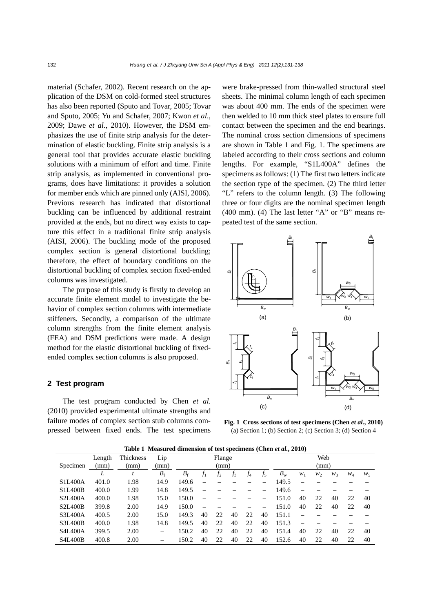material (Schafer, 2002). Recent research on the application of the DSM on cold-formed steel structures has also been reported (Sputo and Tovar, 2005; Tovar and Sputo, 2005; Yu and Schafer, 2007; Kwon *et al*., 2009; Dawe *et al*., 2010). However, the DSM emphasizes the use of finite strip analysis for the determination of elastic buckling. Finite strip analysis is a general tool that provides accurate elastic buckling solutions with a minimum of effort and time. Finite strip analysis, as implemented in conventional programs, does have limitations: it provides a solution for member ends which are pinned only (AISI, 2006). Previous research has indicated that distortional buckling can be influenced by additional restraint provided at the ends, but no direct way exists to capture this effect in a traditional finite strip analysis (AISI, 2006). The buckling mode of the proposed complex section is general distortional buckling; therefore, the effect of boundary conditions on the distortional buckling of complex section fixed-ended columns was investigated.

The purpose of this study is firstly to develop an accurate finite element model to investigate the behavior of complex section columns with intermediate stiffeners. Secondly, a comparison of the ultimate column strengths from the finite element analysis (FEA) and DSM predictions were made. A design method for the elastic distortional buckling of fixedended complex section columns is also proposed.

#### **2 Test program**

The test program conducted by Chen *et al*. (2010) provided experimental ultimate strengths and failure modes of complex section stub columns compressed between fixed ends. The test specimens were brake-pressed from thin-walled structural steel sheets. The minimal column length of each specimen was about 400 mm. The ends of the specimen were then welded to 10 mm thick steel plates to ensure full contact between the specimen and the end bearings. The nominal cross section dimensions of specimens are shown in Table 1 and Fig. 1. The specimens are labeled according to their cross sections and column lengths. For example, "S1L400A" defines the specimens as follows: (1) The first two letters indicate the section type of the specimen. (2) The third letter "L" refers to the column length. (3) The following three or four digits are the nominal specimen length (400 mm). (4) The last letter "A" or "B" means repeated test of the same section.



**Fig. 1 Cross sections of test specimens (Chen** *et al.***, 2010)** (a) Section 1; (b) Section 2; (c) Section 3; (d) Section 4

**Table 1 Measured dimension of test specimens (Chen** *et al.***, 2010)** 

| Specimen       | Length<br>(mm) | Thickness<br>(mm) | Lip<br>(mm)    | Flange<br>(mm) |       |    |    |     | Web<br>(mm) |             |       |       |       |       |       |
|----------------|----------------|-------------------|----------------|----------------|-------|----|----|-----|-------------|-------------|-------|-------|-------|-------|-------|
|                |                |                   | B <sub>1</sub> | $B_{\rm f}$    | $f_1$ | J2 | J3 | .J4 | J5.         | $B_{\rm w}$ | $W_1$ | $W_2$ | $W_3$ | $W_4$ | $W_5$ |
| <b>S1L400A</b> | 401.0          | 1.98              | 14.9           | 149.6          |       |    |    |     |             | 149.5       |       |       |       |       |       |
| <b>S1L400B</b> | 400.0          | 1.99              | 14.8           | 149.5          |       |    |    |     |             | 149.6       |       |       |       |       |       |
| <b>S2L400A</b> | 400.0          | 1.98              | 15.0           | 150.0          |       |    |    |     |             | 151.0       | 40    | 22    | 40    | 22    | 40    |
| <b>S2L400B</b> | 399.8          | 2.00              | 14.9           | 150.0          |       |    |    |     |             | 151.0       | 40    | 22    | 40    | 22    | 40    |
| <b>S3L400A</b> | 400.5          | 2.00              | 15.0           | 149.3          | 40    | 22 | 40 | 22  | 40          | 151.1       |       |       |       |       |       |
| <b>S3L400B</b> | 400.0          | 1.98              | 14.8           | 149.5          | 40    | 22 | 40 | 22  | 40          | 151.3       |       |       |       |       |       |
| <b>S4L400A</b> | 399.5          | 2.00              |                | 150.2          | 40    | 22 | 40 | 22  | 40          | 151.4       | 40    | 22    | 40    | 22    | 40    |
| <b>S4L400B</b> | 400.8          | 2.00              |                | 150.2          | 40    | 22 | 40 | 22  | 40          | 152.6       | 40    | 22    | 40    |       | 40    |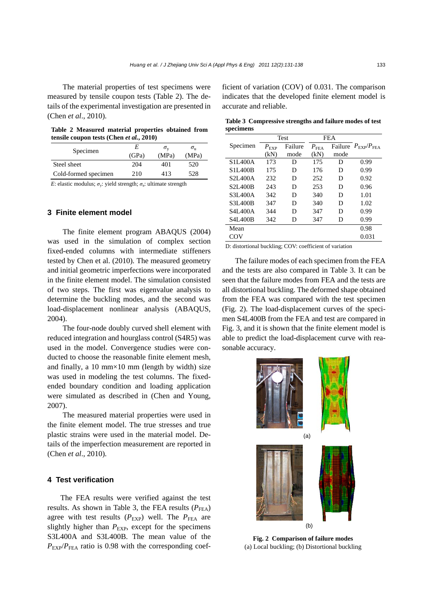The material properties of test specimens were measured by tensile coupon tests (Table 2). The details of the experimental investigation are presented in (Chen *et al*., 2010).

**Table 2 Measured material properties obtained from tensile coupon tests (Chen** *et al.***, 2010)** 

| Specimen             | E<br>(GPa) | $\sigma_{\rm v}$<br>(MPa) | $\sigma_{\rm u}$<br>(MPa) |
|----------------------|------------|---------------------------|---------------------------|
| Steel sheet          | 204        | 401                       | 520                       |
| Cold-formed specimen | 210        | 413                       | 528                       |
|                      |            |                           |                           |

*E*: elastic modulus;  $\sigma_{v}$ : yield strength;  $\sigma_{u}$ : ultimate strength

# **3 Finite element model**

The finite element program ABAQUS (2004) was used in the simulation of complex section fixed-ended columns with intermediate stiffeners tested by Chen et al. (2010). The measured geometry and initial geometric imperfections were incorporated in the finite element model. The simulation consisted of two steps. The first was eigenvalue analysis to determine the buckling modes, and the second was load-displacement nonlinear analysis (ABAQUS, 2004).

The four-node doubly curved shell element with reduced integration and hourglass control (S4R5) was used in the model. Convergence studies were conducted to choose the reasonable finite element mesh, and finally, a 10 mm $\times$ 10 mm (length by width) size was used in modeling the test columns. The fixedended boundary condition and loading application were simulated as described in (Chen and Young, 2007).

The measured material properties were used in the finite element model. The true stresses and true plastic strains were used in the material model. Details of the imperfection measurement are reported in (Chen *et al*., 2010).

# **4 Test verification**

The FEA results were verified against the test results. As shown in Table 3, the FEA results  $(P_{\text{FEA}})$ agree with test results  $(P_{EXP})$  well. The  $P_{FEA}$  are slightly higher than  $P_{EXP}$ , except for the specimens S3L400A and S3L400B. The mean value of the  $P_{\text{EXP}}/P_{\text{FFA}}$  ratio is 0.98 with the corresponding coefficient of variation (COV) of 0.031. The comparison indicates that the developed finite element model is accurate and reliable.

|           | Table 3 Compressive strengths and failure modes of test |
|-----------|---------------------------------------------------------|
| specimens |                                                         |

|                                   |               | Test    |                    | <b>FEA</b> |                                         |  |
|-----------------------------------|---------------|---------|--------------------|------------|-----------------------------------------|--|
| Specimen                          | $P_{\rm EXP}$ | Failure | $P_{\mathrm{FEA}}$ |            | Failure $P_{\text{EXP}}/P_{\text{FFA}}$ |  |
|                                   | (kN)          | mode    | (kN)               | mode       |                                         |  |
| S <sub>1</sub> I <sub>400</sub> A | 173           | D       | 175                | D          | 0.99                                    |  |
| S <sub>11</sub> 400B              | 175           | D       | 176                | D          | 0.99                                    |  |
| S <sub>2</sub> I <sub>400</sub> A | 232           | D       | 252                | D          | 0.92                                    |  |
| S <sub>2</sub> I <sub>400</sub> B | 243           | D       | 253                | D          | 0.96                                    |  |
| S3L400A                           | 342           | D       | 340                | D          | 1.01                                    |  |
| S3L400B                           | 347           | D       | 340                | D          | 1.02                                    |  |
| S4L400A                           | 344           | D       | 347                | D          | 0.99                                    |  |
| <b>S4L400B</b>                    | 342           | D       | 347                | D          | 0.99                                    |  |
| Mean                              |               |         |                    |            | 0.98                                    |  |
| COV                               |               |         |                    |            | 0.031                                   |  |

D: distortional buckling; COV: coefficient of variation

The failure modes of each specimen from the FEA and the tests are also compared in Table 3. It can be seen that the failure modes from FEA and the tests are all distortional buckling. The deformed shape obtained from the FEA was compared with the test specimen (Fig. 2). The load-displacement curves of the specimen S4L400B from the FEA and test are compared in Fig. 3, and it is shown that the finite element model is able to predict the load-displacement curve with reasonable accuracy.



**Fig. 2 Comparison of failure modes**  (a) Local buckling; (b) Distortional buckling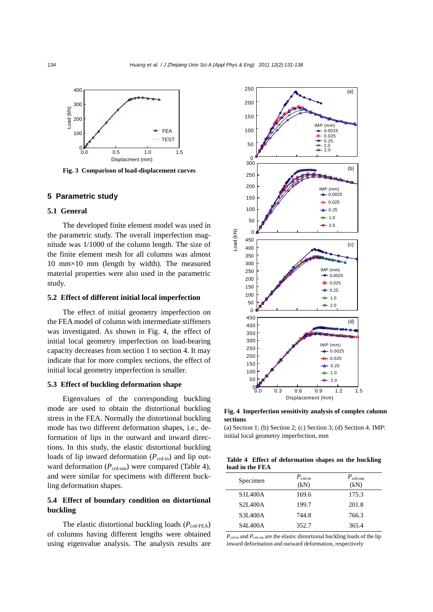

**Fig. 3 Comparison of load-displacement curves** 

# **5 Parametric study**

# **5.1 General**

The developed finite element model was used in the parametric study. The overall imperfection magnitude was 1/1000 of the column length. The size of the finite element mesh for all columns was almost 10 mm×10 mm (length by width). The measured material properties were also used in the parametric study.

# **5.2 Effect of different initial local imperfection**

The effect of initial geometry imperfection on the FEA model of column with intermediate stiffeners was investigated. As shown in Fig. 4, the effect of initial local geometry imperfection on load-bearing capacity decreases from section 1 to section 4. It may indicate that for more complex sections, the effect of initial local geometry imperfection is smaller.

#### **5.3 Effect of buckling deformation shape**

Eigenvalues of the corresponding buckling mode are used to obtain the distortional buckling stress in the FEA. Normally the distortional buckling mode has two different deformation shapes, i.e., deformation of lips in the outward and inward directions. In this study, the elastic distortional buckling loads of lip inward deformation  $(P_{\text{crd-in}})$  and lip outward deformation  $(P_{\text{crd-out}})$  were compared (Table 4), and were similar for specimens with different buckling deformation shapes.

# **5.4 Effect of boundary condition on distortional buckling**

The elastic distortional buckling loads ( $P_{\text{crd-FEA}}$ ) of columns having different lengths were obtained using eigenvalue analysis. The analysis results are



**Fig. 4 Imperfection sensitivity analysis of complex column sections** 

(a) Section 1; (b) Section 2; (c) Section 3; (d) Section 4. IMP: initial local geometry imperfection, mm

|                 | Table 4 Effect of deformation shapes on the buckling |  |  |
|-----------------|------------------------------------------------------|--|--|
| load in the FEA |                                                      |  |  |

| Specimen       | $P_{\text{crd-in}}$<br>(kN) | $P_{\text{crd-out}}$<br>(kN) |
|----------------|-----------------------------|------------------------------|
| S1L400A        | 169.6                       | 175.3                        |
| <b>S2L400A</b> | 199.7                       | 201.8                        |
| <b>S3L400A</b> | 744.8                       | 766.3                        |
| <b>S4L400A</b> | 352.7                       | 365.4                        |
|                |                             |                              |

*P*crd-in and *P*crd-out are the elastic distortional buckling loads of the lip inward deformation and outward deformation, respectively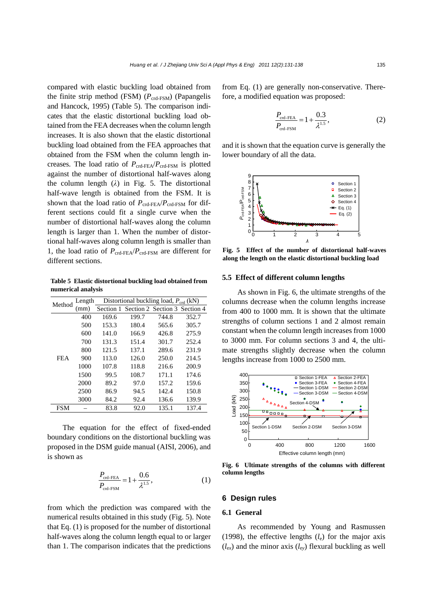compared with elastic buckling load obtained from the finite strip method (FSM) (*P*crd-FSM) (Papangelis and Hancock, 1995) (Table 5). The comparison indicates that the elastic distortional buckling load obtained from the FEA decreases when the column length increases. It is also shown that the elastic distortional buckling load obtained from the FEA approaches that obtained from the FSM when the column length increases. The load ratio of  $P_{\text{crd-FEA}}/P_{\text{crd-FSM}}$  is plotted against the number of distortional half-waves along the column length (*λ*) in Fig. 5. The distortional half-wave length is obtained from the FSM. It is shown that the load ratio of  $P_{\text{crd-FEA}}/P_{\text{crd-FSM}}$  for different sections could fit a single curve when the number of distortional half-waves along the column length is larger than 1. When the number of distortional half-waves along column length is smaller than 1, the load ratio of *P*crd-FEA/*P*crd-FSM are different for different sections.

**Table 5 Elastic distortional buckling load obtained from numerical analysis** 

| Method     | Length | Distortional buckling load, $P_{\text{crd}}$ (kN) |                                         |       |       |  |  |  |  |  |
|------------|--------|---------------------------------------------------|-----------------------------------------|-------|-------|--|--|--|--|--|
|            | (mm)   |                                                   | Section 1 Section 2 Section 3 Section 4 |       |       |  |  |  |  |  |
|            | 400    | 169.6                                             | 199.7                                   | 744.8 | 352.7 |  |  |  |  |  |
|            | 500    | 153.3                                             | 180.4                                   | 565.6 | 305.7 |  |  |  |  |  |
|            | 600    | 141.0                                             | 166.9                                   | 426.8 | 275.9 |  |  |  |  |  |
|            | 700    | 131.3                                             | 151.4                                   | 301.7 | 252.4 |  |  |  |  |  |
|            | 800    | 121.5                                             | 137.1                                   | 289.6 | 231.9 |  |  |  |  |  |
| <b>FEA</b> | 900    | 113.0                                             | 126.0                                   | 250.0 | 214.5 |  |  |  |  |  |
|            | 1000   | 107.8                                             | 118.8                                   | 216.6 | 200.9 |  |  |  |  |  |
|            | 1500   | 99.5                                              | 108.7                                   | 171.1 | 174.6 |  |  |  |  |  |
|            | 2000   | 89.2                                              | 97.0                                    | 157.2 | 159.6 |  |  |  |  |  |
|            | 2500   | 86.9                                              | 94.5                                    | 142.4 | 150.8 |  |  |  |  |  |
|            | 3000   | 84.2                                              | 92.4                                    | 136.6 | 139.9 |  |  |  |  |  |
| <b>FSM</b> |        | 83.8                                              | 92.0                                    | 135.1 | 137.4 |  |  |  |  |  |
|            |        |                                                   |                                         |       |       |  |  |  |  |  |

The equation for the effect of fixed-ended boundary conditions on the distortional buckling was proposed in the DSM guide manual (AISI, 2006), and is shown as

$$
\frac{P_{\text{crd-FEA}}}{P_{\text{crd-FSM}}} = 1 + \frac{0.6}{\lambda^{1.5}},
$$
 (1)

from which the prediction was compared with the numerical results obtained in this study (Fig. 5). Note that Eq. (1) is proposed for the number of distortional half-waves along the column length equal to or larger than 1. The comparison indicates that the predictions from Eq. (1) are generally non-conservative. Therefore, a modified equation was proposed:

$$
\frac{P_{\text{crd-FEA}}}{P_{\text{crd-FSM}}} = 1 + \frac{0.3}{\lambda^{1.5}},
$$
 (2)

and it is shown that the equation curve is generally the lower boundary of all the data.



**Fig. 5 Effect of the number of distortional half-waves along the length on the elastic distortional buckling load** 

#### **5.5 Effect of different column lengths**

As shown in Fig. 6, the ultimate strengths of the columns decrease when the column lengths increase from 400 to 1000 mm. It is shown that the ultimate strengths of column sections 1 and 2 almost remain constant when the column length increases from 1000 to 3000 mm. For column sections 3 and 4, the ultimate strengths slightly decrease when the column lengths increase from 1000 to 2500 mm.



**Fig. 6 Ultimate strengths of the columns with different column lengths** 

#### **6 Design rules**

## **6.1 General**

As recommended by Young and Rasmussen (1998), the effective lengths  $(l_e)$  for the major axis  $(l_{ex})$  and the minor axis  $(l_{ey})$  flexural buckling as well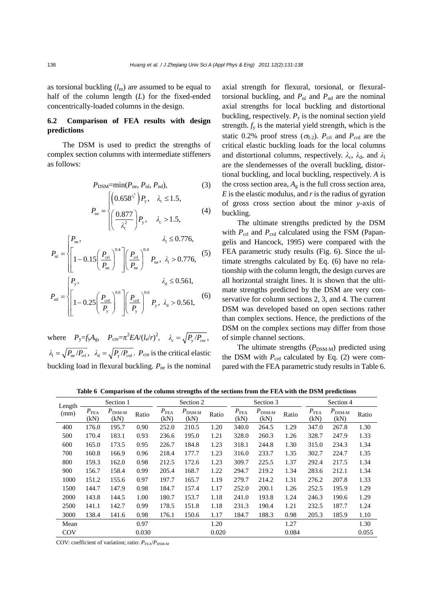as torsional buckling  $(l_{ez})$  are assumed to be equal to half of the column length (*L*) for the fixed-ended concentrically-loaded columns in the design.

# **6.2 Comparison of FEA results with design predictions**

The DSM is used to predict the strengths of complex section columns with intermediate stiffeners as follows:

$$
P_{\text{DSM}} = \min(P_{\text{ne}}, P_{\text{nl}}, P_{\text{nd}}),
$$
 (3)

$$
P_{\text{ne}} = \begin{cases} \left(0.658^{\lambda_{\text{c}}^2}\right) P_{\text{y}}, & \lambda_{\text{c}} \le 1.5, \\ \left(\frac{0.877}{\lambda_{\text{c}}^2}\right) P_{\text{y}}, & \lambda_{\text{c}} > 1.5, \end{cases}
$$
 (4)

$$
P_{\rm nl} = \begin{cases} P_{\rm ne}, & \lambda_{\rm l} \le 0.776, \\ \left[1 - 0.15\left(\frac{P_{\rm crl}}{P_{\rm ne}}\right)^{0.4}\right] \left(\frac{P_{\rm crl}}{P_{\rm ne}}\right)^{0.4} P_{\rm ne}, & \lambda_{\rm l} > 0.776, \end{cases}
$$
(5)

$$
P_{\rm nd} = \begin{cases} P_{\rm y}, & \lambda_{\rm d} \le 0.561, \\ \left[ 1 - 0.25 \left( \frac{P_{\rm ord}}{P_{\rm y}} \right)^{0.6} \right] \left( \frac{P_{\rm ord}}{P_{\rm y}} \right)^{0.6} P_{\rm y}, & \lambda_{\rm d} > 0.561, \end{cases}
$$
(6)

where  $P_y = f_y A_g$ ,  $P_{\text{cre}} = \pi^2 E A / (l_e / r)^2$ ,  $\lambda_c = \sqrt{P_y / P_{\text{cre}}},$  $\lambda_1 = \sqrt{P_{\text{ne}}/P_{\text{crit}}}, \lambda_d = \sqrt{P_{\text{y}}/P_{\text{crit}}}.$  *P*<sub>cre</sub> is the critical elastic buckling load in flexural buckling.  $P_{\text{ne}}$  is the nominal axial strength for flexural, torsional, or flexuraltorsional buckling, and  $P_{nl}$  and  $P_{nd}$  are the nominal axial strengths for local buckling and distortional buckling, respectively.  $P_{y}$  is the nominal section yield strength.  $f<sub>y</sub>$  is the material yield strength, which is the static 0.2% proof stress ( $\sigma_{0.2}$ ).  $P_{\text{crl}}$  and  $P_{\text{crd}}$  are the critical elastic buckling loads for the local columns and distortional columns, respectively.  $\lambda_c$ ,  $\lambda_d$ , and  $\lambda_l$ are the slendernesses of the overall buckling, distortional buckling, and local buckling, respectively. *A* is the cross section area,  $A_g$  is the full cross section area, *E* is the elastic modulus, and *r* is the radius of gyration of gross cross section about the minor *y*-axis of buckling.

The ultimate strengths predicted by the DSM with  $P_{\text{crl}}$  and  $P_{\text{crd}}$  calculated using the FSM (Papangelis and Hancock, 1995) were compared with the FEA parametric study results (Fig. 6). Since the ultimate strengths calculated by Eq. (6) have no relationship with the column length, the design curves are all horizontal straight lines. It is shown that the ultimate strengths predicted by the DSM are very conservative for column sections 2, 3, and 4. The current DSM was developed based on open sections rather than complex sections. Hence, the predictions of the DSM on the complex sections may differ from those of simple channel sections.

The ultimate strengths  $(P_{DSM-M})$  predicted using the DSM with  $P_{\text{crd}}$  calculated by Eq. (2) were compared with the FEA parametric study results in Table 6.

**Table 6 Comparison of the column strengths of the sections from the FEA with the DSM predictions**

| Length     | Section 1                  |                                |       | Section 2                |                                |       |                       | Section 3                      |       | Section 4                  |                                |       |
|------------|----------------------------|--------------------------------|-------|--------------------------|--------------------------------|-------|-----------------------|--------------------------------|-------|----------------------------|--------------------------------|-------|
| (mm)       | $P_{\mathrm{FEA}}$<br>(kN) | $P_{\rm DSM\text{-}M}$<br>(kN) | Ratio | $P_{\text{FEA}}$<br>(kN) | $P_{\rm DSM\text{-}M}$<br>(kN) | Ratio | $P_{\rm FEA}$<br>(kN) | $P_{\rm DSM\text{-}M}$<br>(kN) | Ratio | $P_{\mathrm{FEA}}$<br>(kN) | $P_{\rm DSM\text{-}M}$<br>(kN) | Ratio |
| 400        | 176.0                      | 195.7                          | 0.90  | 252.0                    | 210.5                          | 1.20  | 340.0                 | 264.5                          | 1.29  | 347.0                      | 267.8                          | 1.30  |
| 500        | 170.4                      | 183.1                          | 0.93  | 236.6                    | 195.0                          | 1.21  | 328.0                 | 260.3                          | 1.26  | 328.7                      | 247.9                          | 1.33  |
| 600        | 165.0                      | 173.5                          | 0.95  | 226.7                    | 184.8                          | 1.23  | 318.1                 | 244.8                          | 1.30  | 315.0                      | 234.3                          | 1.34  |
| 700        | 160.8                      | 166.9                          | 0.96  | 218.4                    | 177.7                          | 1.23  | 316.0                 | 233.7                          | 1.35  | 302.7                      | 224.7                          | 1.35  |
| 800        | 159.3                      | 162.0                          | 0.98  | 212.5                    | 172.6                          | 1.23  | 309.7                 | 225.5                          | 1.37  | 292.4                      | 217.5                          | 1.34  |
| 900        | 156.7                      | 158.4                          | 0.99  | 205.4                    | 168.7                          | 1.22  | 294.7                 | 219.2                          | 1.34  | 283.6                      | 212.1                          | 1.34  |
| 1000       | 151.2                      | 155.6                          | 0.97  | 197.7                    | 165.7                          | 1.19  | 279.7                 | 214.2                          | 1.31  | 276.2                      | 207.8                          | 1.33  |
| 1500       | 144.7                      | 147.9                          | 0.98  | 184.7                    | 157.4                          | 1.17  | 252.0                 | 200.1                          | 1.26  | 252.5                      | 195.9                          | 1.29  |
| 2000       | 143.8                      | 144.5                          | 1.00  | 180.7                    | 153.7                          | 1.18  | 241.0                 | 193.8                          | 1.24  | 246.3                      | 190.6                          | 1.29  |
| 2500       | 141.1                      | 142.7                          | 0.99  | 178.5                    | 151.8                          | 1.18  | 231.3                 | 190.4                          | 1.21  | 232.5                      | 187.7                          | 1.24  |
| 3000       | 138.4                      | 141.6                          | 0.98  | 176.1                    | 150.6                          | 1.17  | 184.7                 | 188.3                          | 0.98  | 205.3                      | 185.9                          | 1.10  |
| Mean       |                            |                                | 0.97  |                          |                                | 1.20  |                       |                                | 1.27  |                            |                                | 1.30  |
| <b>COV</b> |                            |                                | 0.030 |                          |                                | 0.020 |                       |                                | 0.084 |                            |                                | 0.055 |

COV: coefficient of variation; ratio:  $P_{\text{FEA}}/P_{\text{DSM-M}}$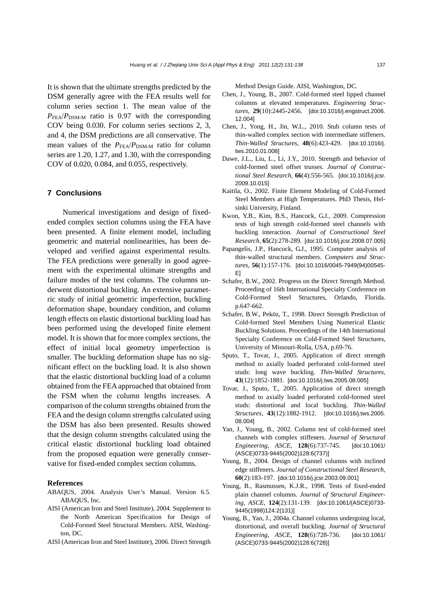It is shown that the ultimate strengths predicted by the DSM generally agree with the FEA results well for column series section 1. The mean value of the  $P_{\text{FEA}}/P_{\text{DSM-M}}$  ratio is 0.97 with the corresponding COV being 0.030. For column series sections 2, 3, and 4, the DSM predictions are all conservative. The mean values of the  $P_{\text{FEA}}/P_{\text{DSM-M}}$  ratio for column series are 1.20, 1.27, and 1.30, with the corresponding COV of 0.020, 0.084, and 0.055, respectively.

#### **7 Conclusions**

Numerical investigations and design of fixedended complex section columns using the FEA have been presented. A finite element model, including geometric and material nonlinearities, has been developed and verified against experimental results. The FEA predictions were generally in good agreement with the experimental ultimate strengths and failure modes of the test columns. The columns underwent distortional buckling. An extensive parametric study of initial geometric imperfection, buckling deformation shape, boundary condition, and column length effects on elastic distortional buckling load has been performed using the developed finite element model. It is shown that for more complex sections, the effect of initial local geometry imperfection is smaller. The buckling deformation shape has no significant effect on the buckling load. It is also shown that the elastic distortional buckling load of a column obtained from the FEA approached that obtained from the FSM when the column lengths increases. A comparison of the column strengths obtained from the FEA and the design column strengths calculated using the DSM has also been presented. Results showed that the design column strengths calculated using the critical elastic distortional buckling load obtained from the proposed equation were generally conservative for fixed-ended complex section columns.

#### **References**

- ABAQUS, 2004. Analysis User's Manual. Version 6.5. ABAQUS, Inc.
- AISI (American Iron and Steel Institute), 2004. Supplement to the North American Specification for Design of Cold-Formed Steel Structural Members. AISI, Washington, DC.
- AISI (American Iron and Steel Institute), 2006. Direct Strength

Method Design Guide. AISI, Washington, DC.

- Chen, J., Young, B., 2007. Cold-formed steel lipped channel columns at elevated temperatures. *Engineering Structures*, **29**(10):2445-2456. [doi:10.1016/j.engstruct.2006. 12.004]
- Chen, J., Yong, H., Jin, W.L., 2010. Stub column tests of thin-walled complex section with intermediate stiffeners. *Thin-Walled Structures*, **48**(6):423-429. [doi:10.1016/j. tws.2010.01.008]
- Dawe, J.L., Liu, L., Li, J.Y., 2010. Strength and behavior of cold-formed steel offset trusses. *Journal of Constructional Steel Research*, **66**(4):556-565. [doi:10.1016/j.jcsr. 2009.10.015]
- Kaitila, O., 2002. Finite Element Modeling of Cold-Formed Steel Members at High Temperatures. PhD Thesis, Helsinki University, Finland.
- Kwon, Y.B., Kim, B.S., Hancock, G.J., 2009. Compression tests of high strength cold-formed steel channels with buckling interaction. *Journal of Constructional Steel Research*, **65**(2):278-289. [doi:10.1016/j.jcsr.2008.07.005]
- Papangelis, J.P., Hancock, G.J., 1995. Computer analysis of thin-walled structural members. *Computers and Structures*, **56**(1):157-176. [doi:10.1016/0045-7949(94)00545- E]
- Schafer, B.W., 2002. Progress on the Direct Strength Method. Proceeding of 16th International Specialty Conference on Cold-Formed Steel Structures, Orlando, Florida. p.647-662.
- Schafer, B.W., Peköz, T., 1998. Direct Strength Prediction of Cold-formed Steel Members Using Numerical Elastic Buckling Solutions. Proceedings of the 14th International Specialty Conference on Cold-Formed Steel Structures, University of Missouri-Rolla, USA, p.69-76.
- Sputo, T., Tovar, J., 2005. Application of direct strength method to axially loaded perforated cold-formed steel studs: long wave buckling. *Thin-Walled Structures*, **43**(12):1852-1881. [doi:10.1016/j.tws.2005.08.005]
- Tovar, J., Sputo, T., 2005. Application of direct strength method to axially loaded perforated cold-formed steel studs: distortional and local buckling. *Thin-Walled Structures*, **43**(12):1882-1912. [doi:10.1016/j.tws.2005. 08.004]
- Yan, J., Young, B., 2002. Column test of cold-formed steel channels with complex stiffeners. *Journal of Structural Engineering, ASCE*, **128**(6):737-745. [doi:10.1061/ (ASCE)0733-9445(2002)128:6(737)]
- Young, B., 2004. Design of channel columns with inclined edge stiffeners. *Journal of Constructional Steel Research*, **60**(2):183-197. [doi:10.1016/j.jcsr.2003.09.001]
- Young, B., Rasmussen, K.J.R., 1998. Tests of fixed-ended plain channel columns. *Journal of Structural Engineering, ASCE*, **124**(2):131-139. [doi:10.1061/(ASCE)0733- 9445(1998)124:2(131)]
- Young, B., Yan, J., 2004a. Channel columns undergoing local, distortional, and overall buckling. *Journal of Structural Engineering, ASCE*, **128**(6):728-736. [doi:10.1061/ (ASCE)0733-9445(2002)128:6(728)]